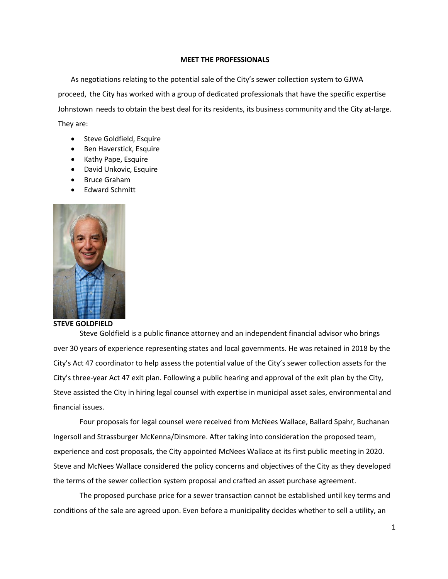# **MEET THE PROFESSIONALS**

As negotiations relating to the potential sale of the City's sewer collection system to GJWA proceed, the City has worked with a group of dedicated professionals that have the specific expertise Johnstown needs to obtain the best deal for its residents, its business community and the City at-large. They are:

- Steve Goldfield, Esquire
- Ben Haverstick, Esquire
- Kathy Pape, Esquire
- David Unkovic, Esquire
- Bruce Graham
- Edward Schmitt



**STEVE GOLDFIELD**

Steve Goldfield is a public finance attorney and an independent financial advisor who brings over 30 years of experience representing states and local governments. He was retained in 2018 by the City's Act 47 coordinator to help assess the potential value of the City's sewer collection assets for the City's three-year Act 47 exit plan. Following a public hearing and approval of the exit plan by the City, Steve assisted the City in hiring legal counsel with expertise in municipal asset sales, environmental and financial issues.

Four proposals for legal counsel were received from McNees Wallace, Ballard Spahr, Buchanan Ingersoll and Strassburger McKenna/Dinsmore. After taking into consideration the proposed team, experience and cost proposals, the City appointed McNees Wallace at its first public meeting in 2020. Steve and McNees Wallace considered the policy concerns and objectives of the City as they developed the terms of the sewer collection system proposal and crafted an asset purchase agreement.

The proposed purchase price for a sewer transaction cannot be established until key terms and conditions of the sale are agreed upon. Even before a municipality decides whether to sell a utility, an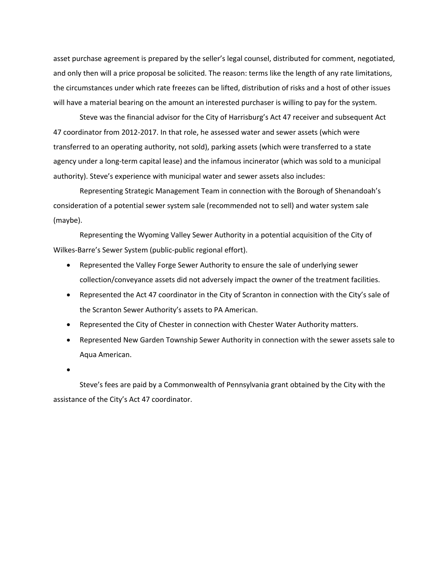asset purchase agreement is prepared by the seller's legal counsel, distributed for comment, negotiated, and only then will a price proposal be solicited. The reason: terms like the length of any rate limitations, the circumstances under which rate freezes can be lifted, distribution of risks and a host of other issues will have a material bearing on the amount an interested purchaser is willing to pay for the system.

Steve was the financial advisor for the City of Harrisburg's Act 47 receiver and subsequent Act 47 coordinator from 2012-2017. In that role, he assessed water and sewer assets (which were transferred to an operating authority, not sold), parking assets (which were transferred to a state agency under a long-term capital lease) and the infamous incinerator (which was sold to a municipal authority). Steve's experience with municipal water and sewer assets also includes:

Representing Strategic Management Team in connection with the Borough of Shenandoah's consideration of a potential sewer system sale (recommended not to sell) and water system sale (maybe).

Representing the Wyoming Valley Sewer Authority in a potential acquisition of the City of Wilkes-Barre's Sewer System (public-public regional effort).

- Represented the Valley Forge Sewer Authority to ensure the sale of underlying sewer collection/conveyance assets did not adversely impact the owner of the treatment facilities.
- Represented the Act 47 coordinator in the City of Scranton in connection with the City's sale of the Scranton Sewer Authority's assets to PA American.
- Represented the City of Chester in connection with Chester Water Authority matters.
- Represented New Garden Township Sewer Authority in connection with the sewer assets sale to Aqua American.

•

Steve's fees are paid by a Commonwealth of Pennsylvania grant obtained by the City with the assistance of the City's Act 47 coordinator.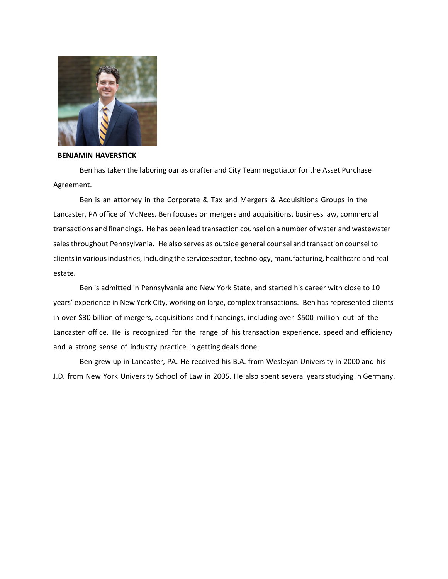

## **BENJAMIN HAVERSTICK**

Ben has taken the laboring oar as drafter and City Team negotiator for the Asset Purchase Agreement.

Ben is an attorney in the Corporate & Tax and Mergers & Acquisitions Groups in the Lancaster, PA office of McNees. Ben focuses on mergers and acquisitions, business law, commercial transactions and financings. He has been lead transaction counsel on a number of water and wastewater sales throughout Pennsylvania. He also serves as outside general counsel and transaction counselto clientsin variousindustries, including the service sector, technology, manufacturing, healthcare and real estate.

Ben is admitted in Pennsylvania and New York State, and started his career with close to 10 years' experience in New York City, working on large, complex transactions. Ben has represented clients in over \$30 billion of mergers, acquisitions and financings, including over \$500 million out of the Lancaster office. He is recognized for the range of his transaction experience, speed and efficiency and a strong sense of industry practice in getting deals done.

Ben grew up in Lancaster, PA. He received his B.A. from Wesleyan University in 2000 and his J.D. from New York University School of Law in 2005. He also spent several years studying in Germany.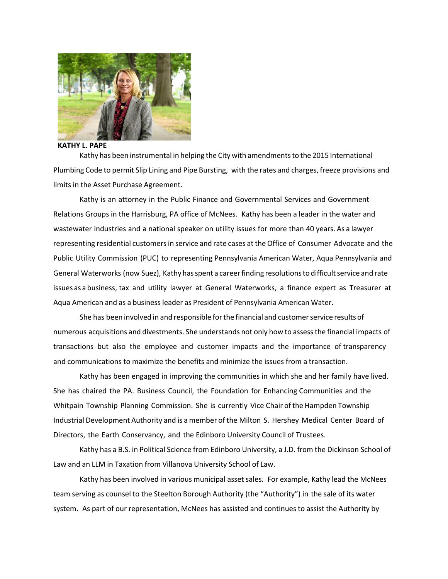

**KATHY L. PAPE**

Kathy has been instrumental in helping the City with amendmentsto the 2015 International Plumbing Code to permit Slip Lining and Pipe Bursting, with the rates and charges, freeze provisions and limits in the Asset Purchase Agreement.

Kathy is an attorney in the Public Finance and Governmental Services and Government Relations Groups in the Harrisburg, PA office of McNees. Kathy has been a leader in the water and wastewater industries and a national speaker on utility issues for more than 40 years. As a lawyer representing residential customersin service and rate cases at the Office of Consumer Advocate and the Public Utility Commission (PUC) to representing Pennsylvania American Water, Aqua Pennsylvania and General Waterworks (now Suez), Kathy has spent a career finding resolutions to difficult service and rate issues as a business, tax and utility lawyer at General Waterworks, a finance expert as Treasurer at Aqua American and as a businessleader as President of Pennsylvania American Water.

She has been involved in and responsible for the financial and customer service results of numerous acquisitions and divestments. She understands not only how to assessthe financial impacts of transactions but also the employee and customer impacts and the importance of transparency and communications to maximize the benefits and minimize the issues from a transaction.

Kathy has been engaged in improving the communities in which she and her family have lived. She has chaired the PA. Business Council, the Foundation for Enhancing Communities and the Whitpain Township Planning Commission. She is currently Vice Chair of the Hampden Township Industrial Development Authority and is a member of the Milton S. Hershey Medical Center Board of Directors, the Earth Conservancy, and the Edinboro University Council of Trustees.

Kathy has a B.S. in Political Science from Edinboro University, a J.D. from the Dickinson School of Law and an LLM in Taxation from Villanova University School of Law.

Kathy has been involved in various municipal asset sales. For example, Kathy lead the McNees team serving as counsel to the Steelton Borough Authority (the "Authority") in the sale of its water system. As part of our representation, McNees has assisted and continues to assist the Authority by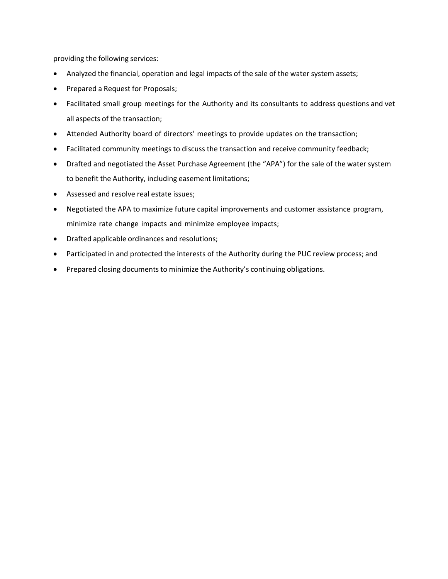providing the following services:

- Analyzed the financial, operation and legal impacts of the sale of the water system assets;
- Prepared a Request for Proposals;
- Facilitated small group meetings for the Authority and its consultants to address questions and vet all aspects of the transaction;
- Attended Authority board of directors' meetings to provide updates on the transaction;
- Facilitated community meetings to discuss the transaction and receive community feedback;
- Drafted and negotiated the Asset Purchase Agreement (the "APA") for the sale of the water system to benefit the Authority, including easement limitations;
- Assessed and resolve real estate issues;
- Negotiated the APA to maximize future capital improvements and customer assistance program, minimize rate change impacts and minimize employee impacts;
- Drafted applicable ordinances and resolutions;
- Participated in and protected the interests of the Authority during the PUC review process; and
- Prepared closing documents to minimize the Authority's continuing obligations.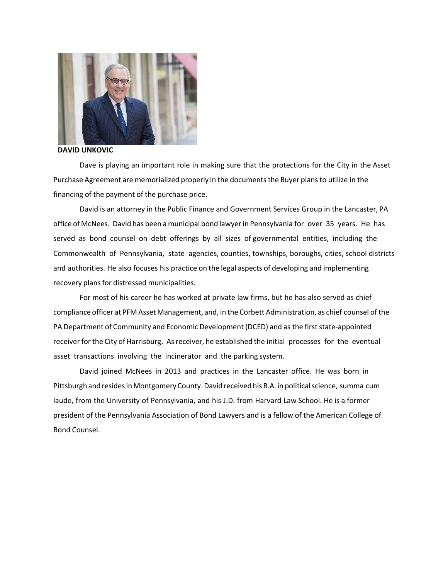

## **DAVID UNKOVIC**

Dave is playing an important role in making sure that the protections for the City in the Asset Purchase Agreement are memorialized properly in the documentsthe Buyer plansto utilize in the financing of the payment of the purchase price.

David is an attorney in the Public Finance and Government Services Group in the Lancaster, PA office of McNees. David has been a municipal bond lawyerin Pennsylvania for over 35 years. He has served as bond counsel on debt offerings by all sizes of governmental entities, including the Commonwealth of Pennsylvania, state agencies, counties, townships, boroughs, cities, school districts and authorities. He also focuses his practice on the legal aspects of developing and implementing recovery plans for distressed municipalities.

For most of his career he has worked at private law firms, but he has also served as chief compliance officer at PFM Asset Management, and, in the Corbett Administration, as chief counsel of the PA Department of Community and Economic Development (DCED) and as the first state-appointed receiver forthe City of Harrisburg. Asreceiver, he established the initial processes for the eventual asset transactions involving the incinerator and the parking system.

David joined McNees in 2013 and practices in the Lancaster office. He was born in Pittsburgh and resides in Montgomery County. David received his B.A. in political science, summa cum laude, from the University of Pennsylvania, and his J.D. from Harvard Law School. He is a former president of the Pennsylvania Association of Bond Lawyers and is a fellow of the American College of Bond Counsel.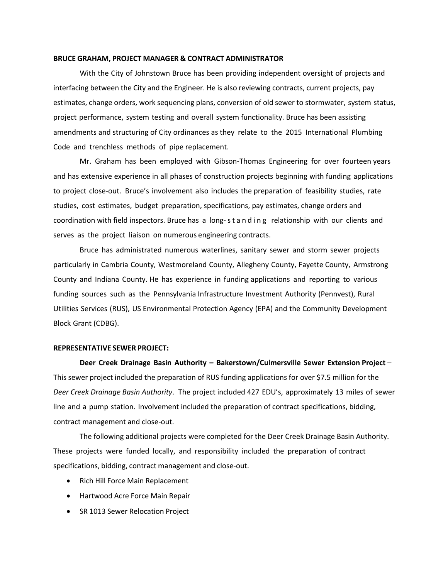## **BRUCE GRAHAM, PROJECT MANAGER & CONTRACT ADMINISTRATOR**

With the City of Johnstown Bruce has been providing independent oversight of projects and interfacing between the City and the Engineer. He is also reviewing contracts, current projects, pay estimates, change orders, work sequencing plans, conversion of old sewer to stormwater, system status, project performance, system testing and overall system functionality. Bruce has been assisting amendments and structuring of City ordinances as they relate to the 2015 International Plumbing Code and trenchless methods of pipe replacement.

Mr. Graham has been employed with Gibson-Thomas Engineering for over fourteen years and has extensive experience in all phases of construction projects beginning with funding applications to project close-out. Bruce's involvement also includes the preparation of feasibility studies, rate studies, cost estimates, budget preparation, specifications, pay estimates, change orders and coordination with field inspectors. Bruce has a long-standing relationship with our clients and serves as the project liaison on numerous engineering contracts.

Bruce has administrated numerous waterlines, sanitary sewer and storm sewer projects particularly in Cambria County, Westmoreland County, Allegheny County, Fayette County, Armstrong County and Indiana County. He has experience in funding applications and reporting to various funding sources such as the Pennsylvania Infrastructure Investment Authority (Pennvest), Rural Utilities Services (RUS), US Environmental Protection Agency (EPA) and the Community Development Block Grant (CDBG).

## **REPRESENTATIVE SEWER PROJECT:**

**Deer Creek Drainage Basin Authority – Bakerstown/Culmersville Sewer Extension Project** *–* This sewer project included the preparation of RUS funding applications for over \$7.5 million for the *Deer Creek Drainage Basin Authority*. The project included 427 EDU's, approximately 13 miles of sewer line and a pump station. Involvement included the preparation of contract specifications, bidding, contract management and close-out.

The following additional projects were completed for the Deer Creek Drainage Basin Authority. These projects were funded locally, and responsibility included the preparation of contract specifications, bidding, contract management and close-out.

- Rich Hill Force Main Replacement
- Hartwood Acre Force Main Repair
- SR 1013 Sewer Relocation Project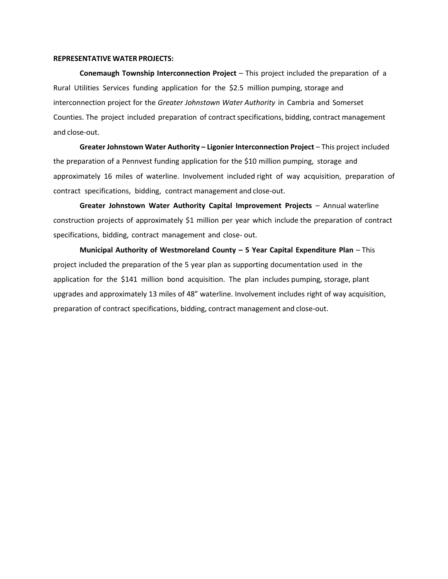## **REPRESENTATIVE WATER PROJECTS:**

**Conemaugh Township Interconnection Project** *–* This project included the preparation of a Rural Utilities Services funding application for the \$2.5 million pumping, storage and interconnection project for the *Greater Johnstown Water Authority* in Cambria and Somerset Counties. The project included preparation of contract specifications, bidding, contract management and close-out.

**Greater Johnstown Water Authority – Ligonier Interconnection Project** – This project included the preparation of a Pennvest funding application for the \$10 million pumping, storage and approximately 16 miles of waterline. Involvement included right of way acquisition, preparation of contract specifications, bidding, contract management and close-out.

**Greater Johnstown Water Authority Capital Improvement Projects** *–* Annual waterline construction projects of approximately \$1 million per year which include the preparation of contract specifications, bidding, contract management and close- out.

**Municipal Authority of Westmoreland County – 5 Year Capital Expenditure Plan** – This project included the preparation of the 5 year plan as supporting documentation used in the application for the \$141 million bond acquisition. The plan includes pumping, storage, plant upgrades and approximately 13 miles of 48" waterline. Involvement includes right of way acquisition, preparation of contract specifications, bidding, contract management and close-out.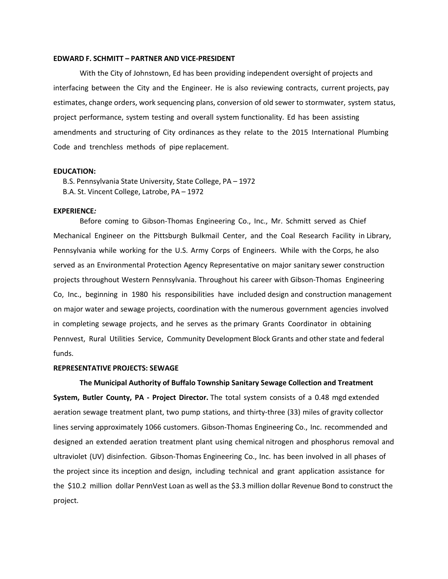## **EDWARD F. SCHMITT – PARTNER AND VICE-PRESIDENT**

With the City of Johnstown, Ed has been providing independent oversight of projects and interfacing between the City and the Engineer. He is also reviewing contracts, current projects, pay estimates, change orders, work sequencing plans, conversion of old sewer to stormwater, system status, project performance, system testing and overall system functionality. Ed has been assisting amendments and structuring of City ordinances as they relate to the 2015 International Plumbing Code and trenchless methods of pipe replacement.

#### **EDUCATION:**

B.S. Pennsylvania State University, State College, PA – 1972 B.A. St. Vincent College, Latrobe, PA – 1972

## **EXPERIENCE***:*

Before coming to Gibson-Thomas Engineering Co., Inc., Mr. Schmitt served as Chief Mechanical Engineer on the Pittsburgh Bulkmail Center, and the Coal Research Facility in Library, Pennsylvania while working for the U.S. Army Corps of Engineers. While with the Corps, he also served as an Environmental Protection Agency Representative on major sanitary sewer construction projects throughout Western Pennsylvania. Throughout his career with Gibson-Thomas Engineering Co, Inc., beginning in 1980 his responsibilities have included design and construction management on major water and sewage projects, coordination with the numerous government agencies involved in completing sewage projects, and he serves as the primary Grants Coordinator in obtaining Pennvest, Rural Utilities Service, Community Development Block Grants and other state and federal funds.

## **REPRESENTATIVE PROJECTS: SEWAGE**

**The Municipal Authority of Buffalo Township Sanitary Sewage Collection and Treatment System, Butler County, PA - Project Director.** The total system consists of a 0.48 mgd extended aeration sewage treatment plant, two pump stations, and thirty-three (33) miles of gravity collector lines serving approximately 1066 customers. Gibson-Thomas Engineering Co., Inc. recommended and designed an extended aeration treatment plant using chemical nitrogen and phosphorus removal and ultraviolet (UV) disinfection. Gibson-Thomas Engineering Co., Inc. has been involved in all phases of the project since its inception and design, including technical and grant application assistance for the \$10.2 million dollar PennVest Loan as well as the \$3.3 million dollar Revenue Bond to construct the project.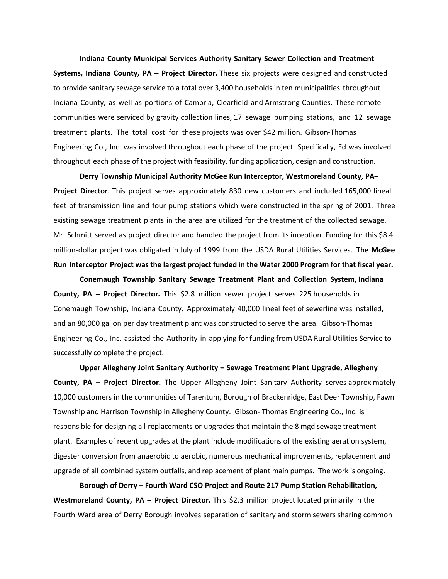**Indiana County Municipal Services Authority Sanitary Sewer Collection and Treatment Systems, Indiana County, PA – Project Director.** These six projects were designed and constructed to provide sanitary sewage service to a total over 3,400 households in ten municipalities throughout Indiana County, as well as portions of Cambria, Clearfield and Armstrong Counties. These remote communities were serviced by gravity collection lines, 17 sewage pumping stations, and 12 sewage treatment plants. The total cost for these projects was over \$42 million. Gibson-Thomas Engineering Co., Inc. was involved throughout each phase of the project. Specifically, Ed was involved throughout each phase of the project with feasibility, funding application, design and construction.

**Derry Township Municipal Authority McGee Run Interceptor, Westmoreland County, PA– Project Director**. This project serves approximately 830 new customers and included 165,000 lineal feet of transmission line and four pump stations which were constructed in the spring of 2001. Three existing sewage treatment plants in the area are utilized for the treatment of the collected sewage. Mr. Schmitt served as project director and handled the project from its inception. Funding for this \$8.4 million-dollar project was obligated in July of 1999 from the USDA Rural Utilities Services. **The McGee Run Interceptor Project was the largest project funded in the Water 2000 Program for that fiscal year.**

**Conemaugh Township Sanitary Sewage Treatment Plant and Collection System, Indiana County, PA – Project Director***.* This \$2.8 million sewer project serves 225 households in Conemaugh Township, Indiana County. Approximately 40,000 lineal feet of sewerline was installed, and an 80,000 gallon per day treatment plant was constructed to serve the area. Gibson-Thomas Engineering Co., Inc. assisted the Authority in applying for funding from USDA Rural Utilities Service to successfully complete the project.

**Upper Allegheny Joint Sanitary Authority – Sewage Treatment Plant Upgrade, Allegheny County, PA – Project Director.** The Upper Allegheny Joint Sanitary Authority serves approximately 10,000 customers in the communities of Tarentum, Borough of Brackenridge, East Deer Township, Fawn Township and Harrison Township in Allegheny County. Gibson- Thomas Engineering Co., Inc. is responsible for designing all replacements or upgrades that maintain the 8 mgd sewage treatment plant. Examples of recent upgrades at the plant include modifications of the existing aeration system, digester conversion from anaerobic to aerobic, numerous mechanical improvements, replacement and upgrade of all combined system outfalls, and replacement of plant main pumps. The work is ongoing.

**Borough of Derry – Fourth Ward CSO Project and Route 217 Pump Station Rehabilitation, Westmoreland County, PA – Project Director.** This \$2.3 million project located primarily in the Fourth Ward area of Derry Borough involves separation of sanitary and storm sewers sharing common